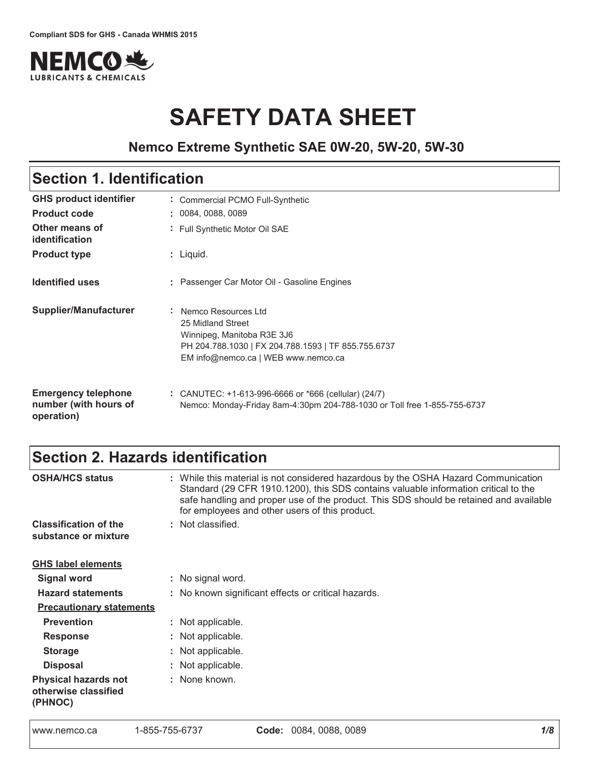

# **SAFETY DATA SHEET**

### **Nemco Extreme Synthetic SAE 0W-20, 5W-20, 5W-30**

# Section 1. Identification

| <b>GHS product identifier</b>                                     | Commercial PCMO Full-Synthetic                                                                                                                                         |
|-------------------------------------------------------------------|------------------------------------------------------------------------------------------------------------------------------------------------------------------------|
| <b>Product code</b>                                               | 0084, 0088, 0089                                                                                                                                                       |
| Other means of<br>identification                                  | : Full Synthetic Motor Oil SAE                                                                                                                                         |
| <b>Product type</b>                                               | $:$ Liquid.                                                                                                                                                            |
| <b>Identified uses</b>                                            | : Passenger Car Motor Oil - Gasoline Engines                                                                                                                           |
| Supplier/Manufacturer                                             | : Nemco Resources Ltd<br>25 Midland Street<br>Winnipeg, Manitoba R3E 3J6<br>PH 204.788.1030   FX 204.788.1593   TF 855.755.6737<br>EM info@nemco.ca   WEB www.nemco.ca |
| <b>Emergency telephone</b><br>number (with hours of<br>operation) | : CANUTEC: $+1-613-996-6666$ or $*666$ (cellular) (24/7)<br>Nemco: Monday-Friday 8am-4:30pm 204-788-1030 or Toll free 1-855-755-6737                                   |

# Section 2. Hazards identification

| <b>OSHA/HCS status</b>                                         | : While this material is not considered hazardous by the OSHA Hazard Communication<br>Standard (29 CFR 1910.1200), this SDS contains valuable information critical to the<br>safe handling and proper use of the product. This SDS should be retained and available<br>for employees and other users of this product. |  |  |  |  |
|----------------------------------------------------------------|-----------------------------------------------------------------------------------------------------------------------------------------------------------------------------------------------------------------------------------------------------------------------------------------------------------------------|--|--|--|--|
| <b>Classification of the</b><br>substance or mixture           | : Not classified.                                                                                                                                                                                                                                                                                                     |  |  |  |  |
| <b>GHS label elements</b>                                      |                                                                                                                                                                                                                                                                                                                       |  |  |  |  |
| <b>Signal word</b>                                             | : No signal word.                                                                                                                                                                                                                                                                                                     |  |  |  |  |
| <b>Hazard statements</b>                                       | : No known significant effects or critical hazards.                                                                                                                                                                                                                                                                   |  |  |  |  |
| <b>Precautionary statements</b>                                |                                                                                                                                                                                                                                                                                                                       |  |  |  |  |
| <b>Prevention</b>                                              | : Not applicable.                                                                                                                                                                                                                                                                                                     |  |  |  |  |
| <b>Response</b>                                                | : Not applicable.                                                                                                                                                                                                                                                                                                     |  |  |  |  |
| <b>Storage</b>                                                 | : Not applicable.                                                                                                                                                                                                                                                                                                     |  |  |  |  |
| <b>Disposal</b>                                                | : Not applicable.                                                                                                                                                                                                                                                                                                     |  |  |  |  |
| <b>Physical hazards not</b><br>otherwise classified<br>(PHNOC) | : None known.                                                                                                                                                                                                                                                                                                         |  |  |  |  |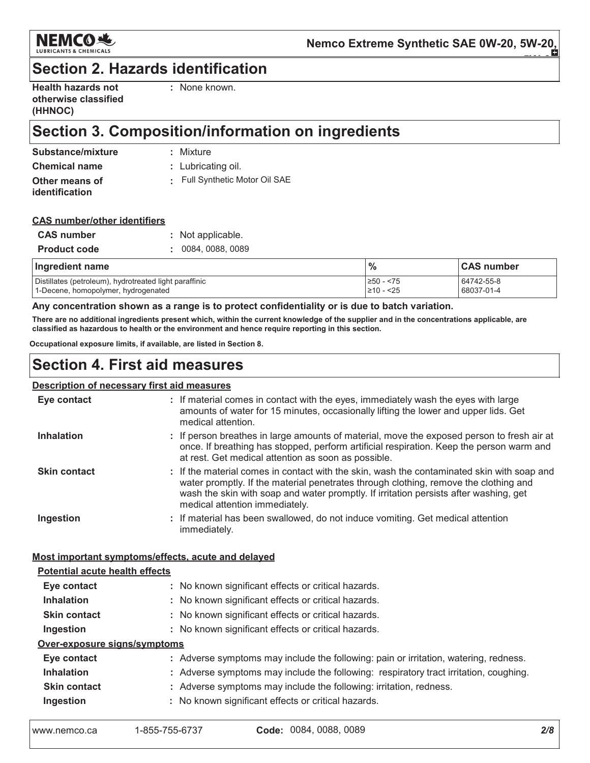

# **Section 2. Hazards identification**

| <b>Health hazards not</b> |
|---------------------------|
| otherwise classified      |
| (HHNOC)                   |

: None known.

# Section 3. Composition/information on ingredients

| Substance/mixture    | : Mixture                    |
|----------------------|------------------------------|
| <b>Chemical name</b> | : Lubricating oil.           |
| Other means of       | Full Synthetic Motor Oil SAE |
| identification       |                              |

### **CAS number/other identifiers**

| <b>CAS</b> number   | : Not applicable.  |
|---------------------|--------------------|
| <b>Product code</b> | : 0084, 0088, 0089 |

| Ingredient name                                        | $\frac{9}{6}$  | <b>CAS number</b> |
|--------------------------------------------------------|----------------|-------------------|
| Distillates (petroleum), hydrotreated light paraffinic | $\geq 50 - 75$ | 64742-55-8        |
| 1-Decene, homopolymer, hydrogenated                    | $\geq 10 - 25$ | 68037-01-4        |

Any concentration shown as a range is to protect confidentiality or is due to batch variation.

There are no additional ingredients present which, within the current knowledge of the supplier and in the concentrations applicable, are classified as hazardous to health or the environment and hence require reporting in this section.

Occupational exposure limits, if available, are listed in Section 8.

# **Section 4. First aid measures**

#### **Description of necessary first aid measures**

| Eye contact                                        | : If material comes in contact with the eyes, immediately wash the eyes with large<br>amounts of water for 15 minutes, occasionally lifting the lower and upper lids. Get<br>medical attention.                                                                                                               |
|----------------------------------------------------|---------------------------------------------------------------------------------------------------------------------------------------------------------------------------------------------------------------------------------------------------------------------------------------------------------------|
| <b>Inhalation</b>                                  | : If person breathes in large amounts of material, move the exposed person to fresh air at<br>once. If breathing has stopped, perform artificial respiration. Keep the person warm and<br>at rest. Get medical attention as soon as possible.                                                                 |
| <b>Skin contact</b>                                | : If the material comes in contact with the skin, wash the contaminated skin with soap and<br>water promptly. If the material penetrates through clothing, remove the clothing and<br>wash the skin with soap and water promptly. If irritation persists after washing, get<br>medical attention immediately. |
| Ingestion                                          | : If material has been swallowed, do not induce vomiting. Get medical attention<br>immediately.                                                                                                                                                                                                               |
| Most important symptoms/effects, acute and delayed |                                                                                                                                                                                                                                                                                                               |
| <b>Potential acute health effects</b>              |                                                                                                                                                                                                                                                                                                               |
| Eye contact                                        | : No known significant effects or critical hazards.                                                                                                                                                                                                                                                           |
| <b>Inhalation</b>                                  | : No known significant effects or critical hazards.                                                                                                                                                                                                                                                           |
| <b>Skin contact</b>                                | : No known significant effects or critical hazards.                                                                                                                                                                                                                                                           |
| Ingestion                                          | : No known significant effects or critical hazards.                                                                                                                                                                                                                                                           |
| Over-exposure signs/symptoms                       |                                                                                                                                                                                                                                                                                                               |
| Eye contact                                        | : Adverse symptoms may include the following: pain or irritation, watering, redness.                                                                                                                                                                                                                          |
| <b>Inhalation</b>                                  | : Adverse symptoms may include the following: respiratory tract irritation, coughing.                                                                                                                                                                                                                         |
| <b>Skin contact</b>                                | : Adverse symptoms may include the following: irritation, redness.                                                                                                                                                                                                                                            |
| Ingestion                                          | : No known significant effects or critical hazards.                                                                                                                                                                                                                                                           |
|                                                    |                                                                                                                                                                                                                                                                                                               |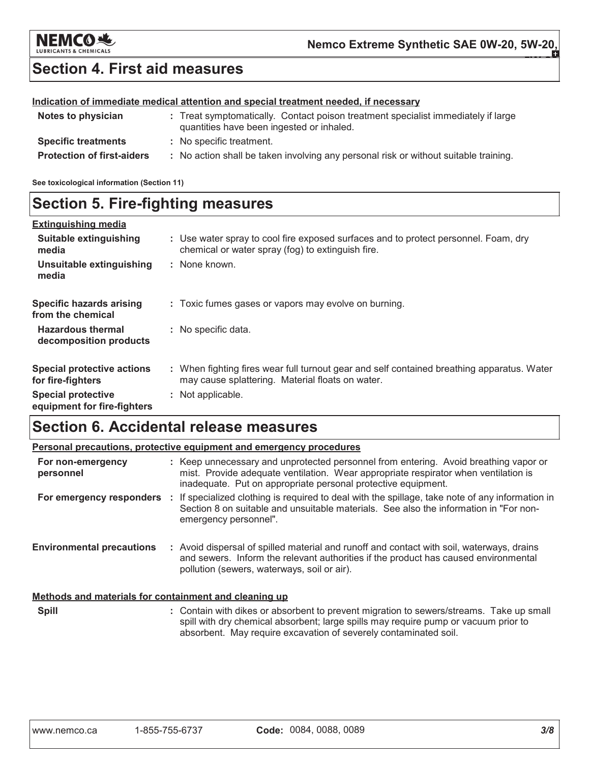

# **Section 4. First aid measures**

### Indication of immediate medical attention and special treatment needed, if necessary

| Notes to physician                | : Treat symptomatically. Contact poison treatment specialist immediately if large<br>quantities have been ingested or inhaled. |
|-----------------------------------|--------------------------------------------------------------------------------------------------------------------------------|
| <b>Specific treatments</b>        | : No specific treatment.                                                                                                       |
| <b>Protection of first-aiders</b> | : No action shall be taken involving any personal risk or without suitable training.                                           |

See toxicological information (Section 11)

# **Section 5. Fire-fighting measures**

| <b>Extinguishing media</b>                               |                                                                                                                                                |
|----------------------------------------------------------|------------------------------------------------------------------------------------------------------------------------------------------------|
| Suitable extinguishing<br>media                          | : Use water spray to cool fire exposed surfaces and to protect personnel. Foam, dry<br>chemical or water spray (fog) to extinguish fire.       |
| Unsuitable extinguishing<br>media                        | : None known.                                                                                                                                  |
| <b>Specific hazards arising</b><br>from the chemical     | : Toxic fumes gases or vapors may evolve on burning.                                                                                           |
| <b>Hazardous thermal</b><br>decomposition products       | : No specific data.                                                                                                                            |
| <b>Special protective actions</b><br>for fire-fighters   | : When fighting fires wear full turnout gear and self contained breathing apparatus. Water<br>may cause splattering. Material floats on water. |
| <b>Special protective</b><br>equipment for fire-fighters | : Not applicable.                                                                                                                              |

# **Section 6. Accidental release measures**

|                                                       |  | Personal precautions, protective equipment and emergency procedures                                                                                                                                                                          |
|-------------------------------------------------------|--|----------------------------------------------------------------------------------------------------------------------------------------------------------------------------------------------------------------------------------------------|
| For non-emergency<br>personnel                        |  | : Keep unnecessary and unprotected personnel from entering. Avoid breathing vapor or<br>mist. Provide adequate ventilation. Wear appropriate respirator when ventilation is<br>inadequate. Put on appropriate personal protective equipment. |
| For emergency responders :                            |  | If specialized clothing is required to deal with the spillage, take note of any information in<br>Section 8 on suitable and unsuitable materials. See also the information in "For non-<br>emergency personnel".                             |
| <b>Environmental precautions</b>                      |  | : Avoid dispersal of spilled material and runoff and contact with soil, waterways, drains<br>and sewers. Inform the relevant authorities if the product has caused environmental<br>pollution (sewers, waterways, soil or air).              |
| Methods and materials for containment and cleaning up |  |                                                                                                                                                                                                                                              |
| <b>Spill</b>                                          |  | : Contain with dikes or absorbent to prevent migration to sewers/streams. Take up small<br>spill with dry chemical absorbent; large spills may require pump or vacuum prior to                                                               |

absorbent. May require excavation of severely contaminated soil.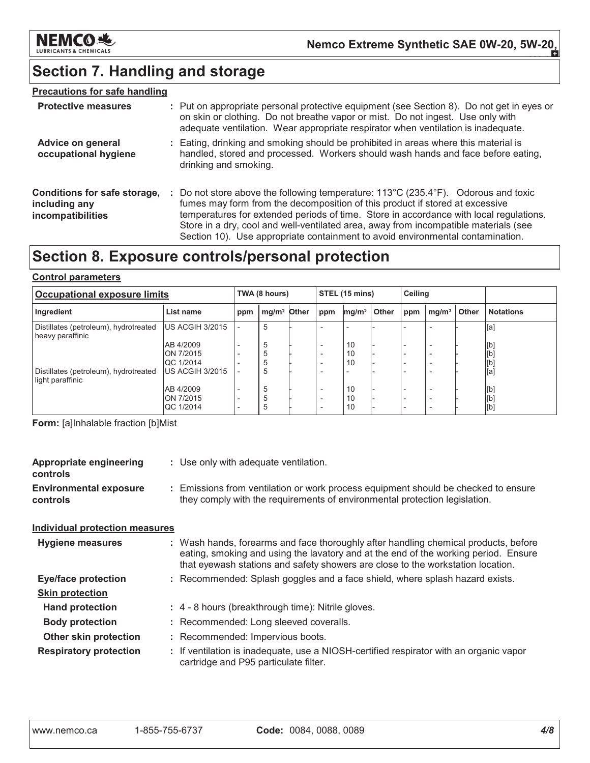

# Section 7. Handling and storage

### **Precautions for safe handling**

| <b>Protective measures</b>                                         | : Put on appropriate personal protective equipment (see Section 8). Do not get in eyes or<br>on skin or clothing. Do not breathe vapor or mist. Do not ingest. Use only with<br>adequate ventilation. Wear appropriate respirator when ventilation is inadequate.                                                                                                                                                                                           |
|--------------------------------------------------------------------|-------------------------------------------------------------------------------------------------------------------------------------------------------------------------------------------------------------------------------------------------------------------------------------------------------------------------------------------------------------------------------------------------------------------------------------------------------------|
| <b>Advice on general</b><br>occupational hygiene                   | : Eating, drinking and smoking should be prohibited in areas where this material is<br>handled, stored and processed. Workers should wash hands and face before eating,<br>drinking and smoking.                                                                                                                                                                                                                                                            |
| Conditions for safe storage,<br>including any<br>incompatibilities | : Do not store above the following temperature: $113^{\circ}$ C (235.4 $^{\circ}$ F). Odorous and toxic<br>fumes may form from the decomposition of this product if stored at excessive<br>temperatures for extended periods of time. Store in accordance with local regulations.<br>Store in a dry, cool and well-ventilated area, away from incompatible materials (see<br>Section 10). Use appropriate containment to avoid environmental contamination. |

# Section 8. Exposure controls/personal protection

### **Control parameters**

| <b>Occupational exposure limits</b>                       |                        |                                                      | TWA (8 hours)           |  |                                                      | STEL (15 mins)    |       |     | Ceiling           |       |                  |
|-----------------------------------------------------------|------------------------|------------------------------------------------------|-------------------------|--|------------------------------------------------------|-------------------|-------|-----|-------------------|-------|------------------|
| Ingredient                                                | List name              | ppm                                                  | mg/m <sup>3</sup> Other |  | ppm                                                  | mg/m <sup>3</sup> | Other | ppm | mg/m <sup>3</sup> | Other | <b>Notations</b> |
| Distillates (petroleum), hydrotreated<br>heavy paraffinic | US ACGIH 3/2015        | $\overline{\phantom{0}}$                             | 5                       |  |                                                      |                   |       |     |                   |       | [a]              |
|                                                           | AB 4/2009              | $\overline{\phantom{0}}$                             | 5                       |  | $\overline{\phantom{0}}$                             | 10                |       |     |                   |       | [b]              |
|                                                           | ON 7/2015<br>QC 1/2014 |                                                      | 5<br>5                  |  | $\overline{\phantom{0}}$                             | 10<br>10          |       |     |                   |       | [b]<br>[b]       |
| Distillates (petroleum), hydrotreated<br>light paraffinic | US ACGIH 3/2015        |                                                      | 5                       |  |                                                      |                   |       |     |                   |       | [a]              |
|                                                           | AB 4/2009<br>ON 7/2015 | $\overline{\phantom{a}}$                             | 5<br>5                  |  | $\overline{\phantom{0}}$                             | 10<br>10          |       |     |                   |       | [b]              |
|                                                           | QC 1/2014              | $\overline{\phantom{0}}$<br>$\overline{\phantom{0}}$ | 5                       |  | $\overline{\phantom{0}}$<br>$\overline{\phantom{0}}$ | 10                |       |     |                   |       | [b]<br>[b]       |

Form: [a]Inhalable fraction [b]Mist

| <b>Appropriate engineering</b><br>controls | : Use only with adequate ventilation.                                                                                                                                                                                                                         |
|--------------------------------------------|---------------------------------------------------------------------------------------------------------------------------------------------------------------------------------------------------------------------------------------------------------------|
| <b>Environmental exposure</b><br>controls  | : Emissions from ventilation or work process equipment should be checked to ensure<br>they comply with the requirements of environmental protection legislation.                                                                                              |
| <b>Individual protection measures</b>      |                                                                                                                                                                                                                                                               |
| <b>Hygiene measures</b>                    | : Wash hands, forearms and face thoroughly after handling chemical products, before<br>eating, smoking and using the lavatory and at the end of the working period. Ensure<br>that eyewash stations and safety showers are close to the workstation location. |
| <b>Eye/face protection</b>                 | : Recommended: Splash goggles and a face shield, where splash hazard exists.                                                                                                                                                                                  |
| <b>Skin protection</b>                     |                                                                                                                                                                                                                                                               |
| <b>Hand protection</b>                     | : 4 - 8 hours (breakthrough time): Nitrile gloves.                                                                                                                                                                                                            |
| <b>Body protection</b>                     | : Recommended: Long sleeved coveralls.                                                                                                                                                                                                                        |
| <b>Other skin protection</b>               | : Recommended: Impervious boots.                                                                                                                                                                                                                              |
| <b>Respiratory protection</b>              | : If ventilation is inadequate, use a NIOSH-certified respirator with an organic vapor<br>cartridge and P95 particulate filter.                                                                                                                               |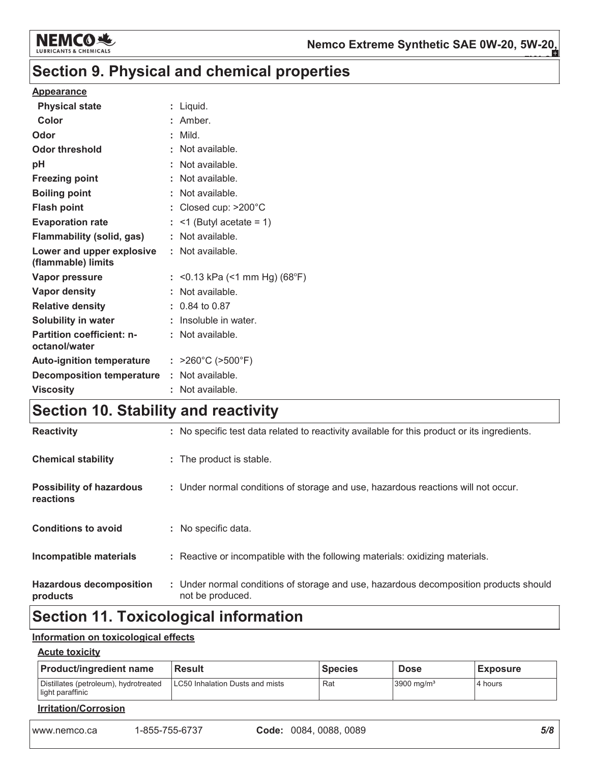

# Section 9. Physical and chemical properties

### **Appearance**

| <b>Physical state</b>                             | : Liquid.                              |
|---------------------------------------------------|----------------------------------------|
| Color                                             | : Amber.                               |
| Odor                                              | : Mild.                                |
| <b>Odor threshold</b>                             | : Not available.                       |
| pH                                                | : Not available.                       |
| <b>Freezing point</b>                             | : Not available.                       |
| <b>Boiling point</b>                              | : Not available.                       |
| <b>Flash point</b>                                | : Closed cup: $>200^{\circ}$ C         |
| <b>Evaporation rate</b>                           | $:$ <1 (Butyl acetate = 1)             |
| <b>Flammability (solid, gas)</b>                  | : Not available.                       |
| Lower and upper explosive<br>(flammable) limits   | : Not available.                       |
| Vapor pressure                                    | : <0.13 kPa (<1 mm Hg) (68°F)          |
| <b>Vapor density</b>                              | : Not available.                       |
| <b>Relative density</b>                           | $: 0.84$ to 0.87                       |
| <b>Solubility in water</b>                        | : Insoluble in water.                  |
| <b>Partition coefficient: n-</b><br>octanol/water | : Not available.                       |
| <b>Auto-ignition temperature</b>                  | : $>260^{\circ}$ C ( $>500^{\circ}$ F) |
| <b>Decomposition temperature</b>                  | : Not available.                       |
| <b>Viscosity</b>                                  | : Not available.                       |
|                                                   |                                        |

# Section 10. Stability and reactivity

| <b>Reactivity</b>                            | : No specific test data related to reactivity available for this product or its ingredients.              |
|----------------------------------------------|-----------------------------------------------------------------------------------------------------------|
| <b>Chemical stability</b>                    | : The product is stable.                                                                                  |
| <b>Possibility of hazardous</b><br>reactions | : Under normal conditions of storage and use, hazardous reactions will not occur.                         |
| <b>Conditions to avoid</b>                   | : No specific data.                                                                                       |
| Incompatible materials                       | : Reactive or incompatible with the following materials: oxidizing materials.                             |
| <b>Hazardous decomposition</b><br>products   | : Under normal conditions of storage and use, hazardous decomposition products should<br>not be produced. |
|                                              |                                                                                                           |

# **Section 11. Toxicological information**

### Information on toxicological effects

### **Acute toxicity**

| <b>Product/ingredient name</b>                            | <b>Result</b>                   | <b>Species</b> | <b>Dose</b>              | <b>Exposure</b> |  |  |  |
|-----------------------------------------------------------|---------------------------------|----------------|--------------------------|-----------------|--|--|--|
| Distillates (petroleum), hydrotreated<br>light paraffinic | LC50 Inhalation Dusts and mists | Rat            | $3900$ mg/m <sup>3</sup> | 4 hours         |  |  |  |
| <b>Irritation/Corrosion</b>                               |                                 |                |                          |                 |  |  |  |

www.nemco.ca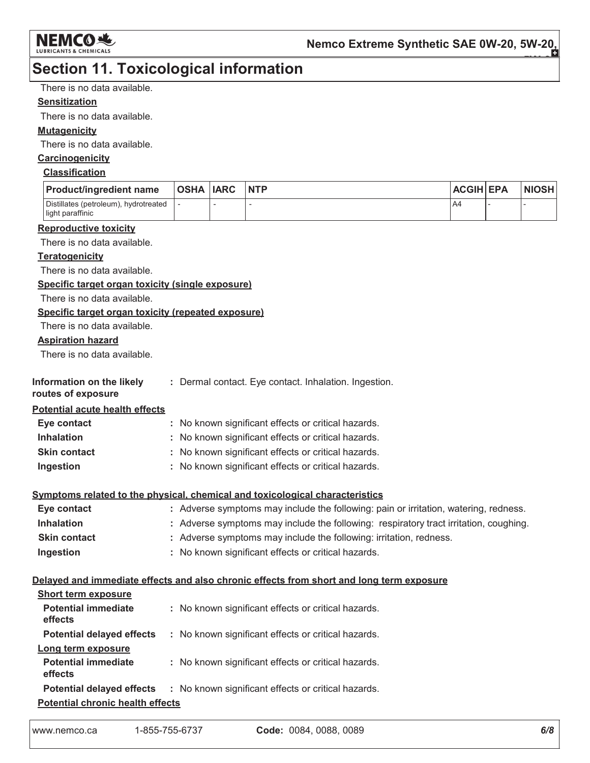

# **Section 11. Toxicological information**

There is no data available.

### **Sensitization**

There is no data available.

### **Mutagenicity**

There is no data available.

### Carcinogenicity

### **Classification**

| <b>Product/ingredient name</b>                            | OSHA  IARC | <b>NTP</b> | <b>ACGIH EPA</b> | <b>NIOSH</b> |
|-----------------------------------------------------------|------------|------------|------------------|--------------|
| Distillates (petroleum), hydrotreated<br>light paraffinic |            |            | A4               |              |

#### **Reproductive toxicity**

There is no data available.

### **Teratogenicity**

There is no data available.

### Specific target organ toxicity (single exposure)

There is no data available.

### Specific target organ toxicity (repeated exposure)

There is no data available.

### **Aspiration hazard**

There is no data available.

| Information on the likely | : Dermal contact. Eye contact. Inhalation. Ingestion |  |
|---------------------------|------------------------------------------------------|--|
|                           |                                                      |  |

#### routes of exposure

**Potential acute health effects** 

| Eye contact         | : No known significant effects or critical hazards. |
|---------------------|-----------------------------------------------------|
| <b>Inhalation</b>   | : No known significant effects or critical hazards. |
| <b>Skin contact</b> | : No known significant effects or critical hazards. |
| Ingestion           | : No known significant effects or critical hazards. |

### Symptoms related to the physical, chemical and toxicological characteristics

| Eye contact         | : Adverse symptoms may include the following: pain or irritation, watering, redness.  |
|---------------------|---------------------------------------------------------------------------------------|
| <b>Inhalation</b>   | : Adverse symptoms may include the following: respiratory tract irritation, coughing. |
| <b>Skin contact</b> | : Adverse symptoms may include the following: irritation, redness.                    |
| Ingestion           | : No known significant effects or critical hazards.                                   |

#### Delayed and immediate effects and also chronic effects from short and long term exposure

| <b>Short term exposure</b>              |                                                                                      |
|-----------------------------------------|--------------------------------------------------------------------------------------|
| <b>Potential immediate</b><br>effects   | : No known significant effects or critical hazards.                                  |
| <b>Potential delayed effects</b>        | : No known significant effects or critical hazards.                                  |
| Long term exposure                      |                                                                                      |
| <b>Potential immediate</b><br>effects   | : No known significant effects or critical hazards.                                  |
|                                         | <b>Potential delayed effects : No known significant effects or critical hazards.</b> |
| <b>Potential chronic health effects</b> |                                                                                      |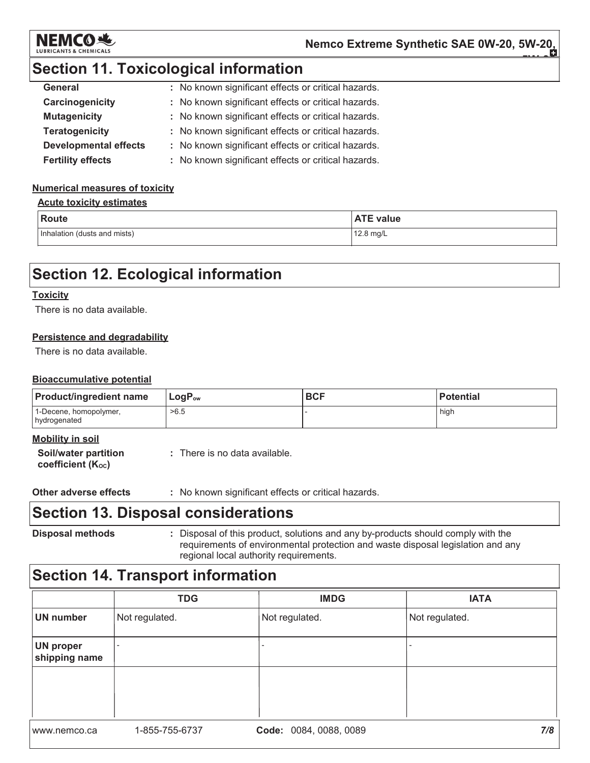

# **Section 11. Toxicological information**

| General                      | : No known significant effects or critical hazards. |
|------------------------------|-----------------------------------------------------|
| Carcinogenicity              | : No known significant effects or critical hazards. |
| <b>Mutagenicity</b>          | : No known significant effects or critical hazards. |
| <b>Teratogenicity</b>        | : No known significant effects or critical hazards. |
| <b>Developmental effects</b> | : No known significant effects or critical hazards. |
| <b>Fertility effects</b>     | : No known significant effects or critical hazards. |

### **Numerical measures of toxicity**

### **Acute toxicity estimates**

| <b>Route</b>                 | <b>ATE value</b>    |
|------------------------------|---------------------|
| Inhalation (dusts and mists) | $12.8 \text{ mg/L}$ |

# **Section 12. Ecological information**

### **Toxicity**

There is no data available.

### Persistence and degradability

There is no data available.

### **Bioaccumulative potential**

| <b>Product/ingredient name</b>                                            | $LogP_{ow}$                   | <b>BCF</b> | l Potential |
|---------------------------------------------------------------------------|-------------------------------|------------|-------------|
| 1-Decene, homopolymer,<br>hydrogenated                                    | >6.5                          |            | high        |
| <b>Mobility in soil</b><br>Soil/water partition<br>coefficient $(K_{oc})$ | : There is no data available. |            |             |

**Other adverse effects** : No known significant effects or critical hazards.

## **Section 13. Disposal considerations**

**Disposal methods** : Disposal of this product, solutions and any by-products should comply with the requirements of environmental protection and waste disposal legislation and any regional local authority requirements.

# **Section 14. Transport information**

|                                   | <b>TDG</b>     | <b>IMDG</b>            | <b>IATA</b>    |
|-----------------------------------|----------------|------------------------|----------------|
| <b>UN number</b>                  | Not regulated. | Not regulated.         | Not regulated. |
| <b>UN proper</b><br>shipping name |                |                        |                |
|                                   |                |                        |                |
|                                   |                |                        |                |
| www.nemco.ca                      | 1-855-755-6737 | Code: 0084, 0088, 0089 | 7/8            |